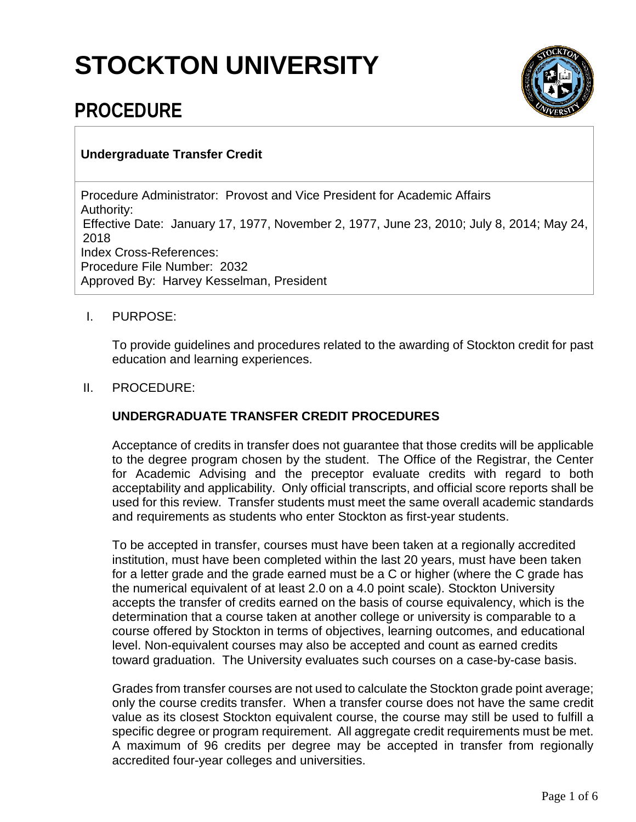# **STOCKTON UNIVERSITY**



# **PROCEDURE**

# **Undergraduate Transfer Credit**

Procedure Administrator: Provost and Vice President for Academic Affairs Authority: Effective Date: January 17, 1977, November 2, 1977, June 23, 2010; July 8, 2014; May 24, 2018 Index Cross-References: Procedure File Number: 2032 Approved By: Harvey Kesselman, President

#### I. PURPOSE:

To provide guidelines and procedures related to the awarding of Stockton credit for past education and learning experiences.

#### II. PROCEDURE:

# **UNDERGRADUATE TRANSFER CREDIT PROCEDURES**

Acceptance of credits in transfer does not guarantee that those credits will be applicable to the degree program chosen by the student. The Office of the Registrar, the Center for Academic Advising and the preceptor evaluate credits with regard to both acceptability and applicability. Only official transcripts, and official score reports shall be used for this review. Transfer students must meet the same overall academic standards and requirements as students who enter Stockton as first-year students.

To be accepted in transfer, courses must have been taken at a regionally accredited institution, must have been completed within the last 20 years, must have been taken for a letter grade and the grade earned must be a C or higher (where the C grade has the numerical equivalent of at least 2.0 on a 4.0 point scale). Stockton University accepts the transfer of credits earned on the basis of course equivalency, which is the determination that a course taken at another college or university is comparable to a course offered by Stockton in terms of objectives, learning outcomes, and educational level. Non-equivalent courses may also be accepted and count as earned credits toward graduation. The University evaluates such courses on a case-by-case basis.

Grades from transfer courses are not used to calculate the Stockton grade point average; only the course credits transfer. When a transfer course does not have the same credit value as its closest Stockton equivalent course, the course may still be used to fulfill a specific degree or program requirement. All aggregate credit requirements must be met. A maximum of 96 credits per degree may be accepted in transfer from regionally accredited four-year colleges and universities.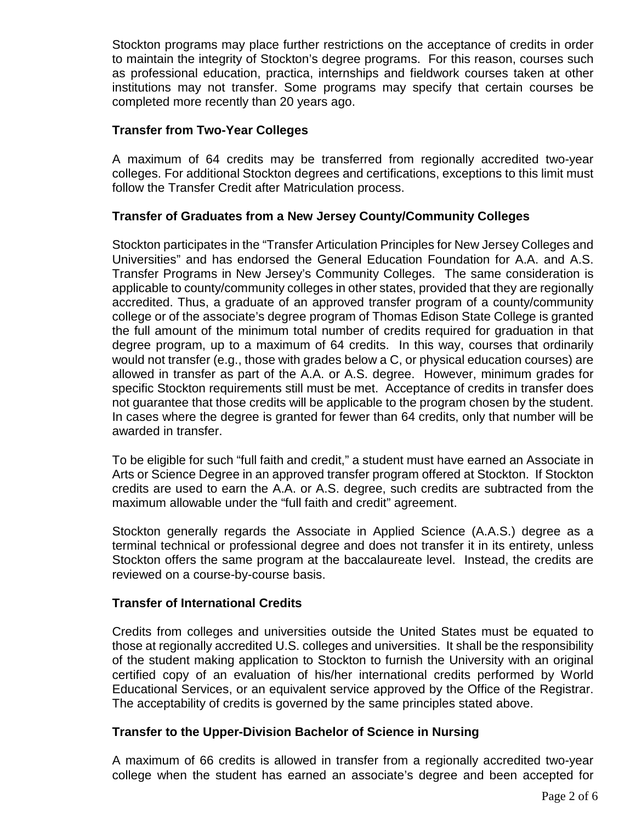Stockton programs may place further restrictions on the acceptance of credits in order to maintain the integrity of Stockton's degree programs. For this reason, courses such as professional education, practica, internships and fieldwork courses taken at other institutions may not transfer. Some programs may specify that certain courses be completed more recently than 20 years ago.

#### **Transfer from Two-Year Colleges**

A maximum of 64 credits may be transferred from regionally accredited two-year colleges. For additional Stockton degrees and certifications, exceptions to this limit must follow the Transfer Credit after Matriculation process.

#### **Transfer of Graduates from a New Jersey County/Community Colleges**

Stockton participates in the "Transfer Articulation Principles for New Jersey Colleges and Universities" and has endorsed the General Education Foundation for A.A. and A.S. Transfer Programs in New Jersey's Community Colleges. The same consideration is applicable to county/community colleges in other states, provided that they are regionally accredited. Thus, a graduate of an approved transfer program of a county/community college or of the associate's degree program of Thomas Edison State College is granted the full amount of the minimum total number of credits required for graduation in that degree program, up to a maximum of 64 credits. In this way, courses that ordinarily would not transfer (e.g., those with grades below a C, or physical education courses) are allowed in transfer as part of the A.A. or A.S. degree. However, minimum grades for specific Stockton requirements still must be met. Acceptance of credits in transfer does not guarantee that those credits will be applicable to the program chosen by the student. In cases where the degree is granted for fewer than 64 credits, only that number will be awarded in transfer.

To be eligible for such "full faith and credit," a student must have earned an Associate in Arts or Science Degree in an approved transfer program offered at Stockton. If Stockton credits are used to earn the A.A. or A.S. degree, such credits are subtracted from the maximum allowable under the "full faith and credit" agreement.

Stockton generally regards the Associate in Applied Science (A.A.S.) degree as a terminal technical or professional degree and does not transfer it in its entirety, unless Stockton offers the same program at the baccalaureate level. Instead, the credits are reviewed on a course-by-course basis.

#### **Transfer of International Credits**

Credits from colleges and universities outside the United States must be equated to those at regionally accredited U.S. colleges and universities. It shall be the responsibility of the student making application to Stockton to furnish the University with an original certified copy of an evaluation of his/her international credits performed by World Educational Services, or an equivalent service approved by the Office of the Registrar. The acceptability of credits is governed by the same principles stated above.

#### **Transfer to the Upper-Division Bachelor of Science in Nursing**

A maximum of 66 credits is allowed in transfer from a regionally accredited two-year college when the student has earned an associate's degree and been accepted for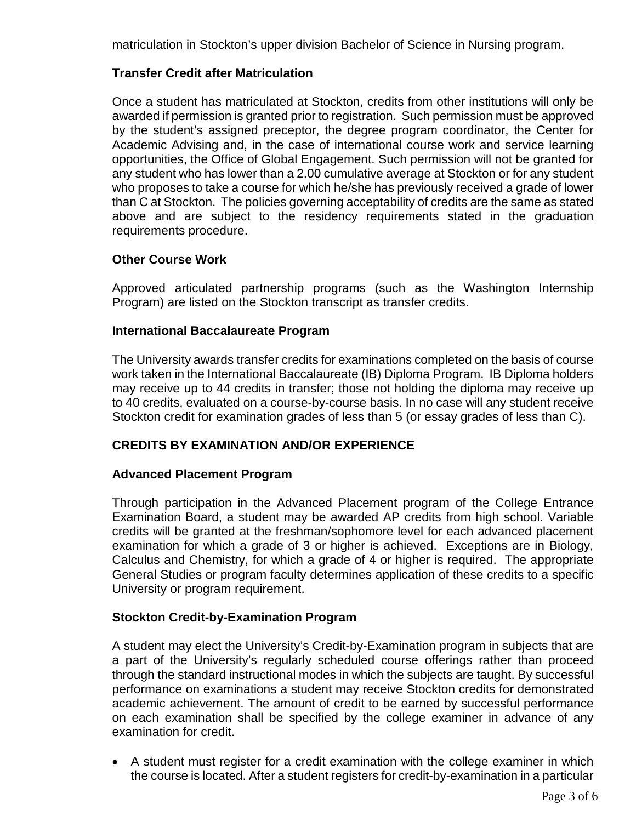matriculation in Stockton's upper division Bachelor of Science in Nursing program.

#### **Transfer Credit after Matriculation**

Once a student has matriculated at Stockton, credits from other institutions will only be awarded if permission is granted prior to registration. Such permission must be approved by the student's assigned preceptor, the degree program coordinator, the Center for Academic Advising and, in the case of international course work and service learning opportunities, the Office of Global Engagement. Such permission will not be granted for any student who has lower than a 2.00 cumulative average at Stockton or for any student who proposes to take a course for which he/she has previously received a grade of lower than C at Stockton. The policies governing acceptability of credits are the same as stated above and are subject to the residency requirements stated in the graduation requirements procedure.

#### **Other Course Work**

Approved articulated partnership programs (such as the Washington Internship Program) are listed on the Stockton transcript as transfer credits.

#### **International Baccalaureate Program**

The University awards transfer credits for examinations completed on the basis of course work taken in the International Baccalaureate (IB) Diploma Program. IB Diploma holders may receive up to 44 credits in transfer; those not holding the diploma may receive up to 40 credits, evaluated on a course-by-course basis. In no case will any student receive Stockton credit for examination grades of less than 5 (or essay grades of less than C).

# **CREDITS BY EXAMINATION AND/OR EXPERIENCE**

#### **Advanced Placement Program**

Through participation in the Advanced Placement program of the College Entrance Examination Board, a student may be awarded AP credits from high school. Variable credits will be granted at the freshman/sophomore level for each advanced placement examination for which a grade of 3 or higher is achieved. Exceptions are in Biology, Calculus and Chemistry, for which a grade of 4 or higher is required. The appropriate General Studies or program faculty determines application of these credits to a specific University or program requirement.

#### **Stockton Credit-by-Examination Program**

A student may elect the University's Credit-by-Examination program in subjects that are a part of the University's regularly scheduled course offerings rather than proceed through the standard instructional modes in which the subjects are taught. By successful performance on examinations a student may receive Stockton credits for demonstrated academic achievement. The amount of credit to be earned by successful performance on each examination shall be specified by the college examiner in advance of any examination for credit.

• A student must register for a credit examination with the college examiner in which the course is located. After a student registers for credit-by-examination in a particular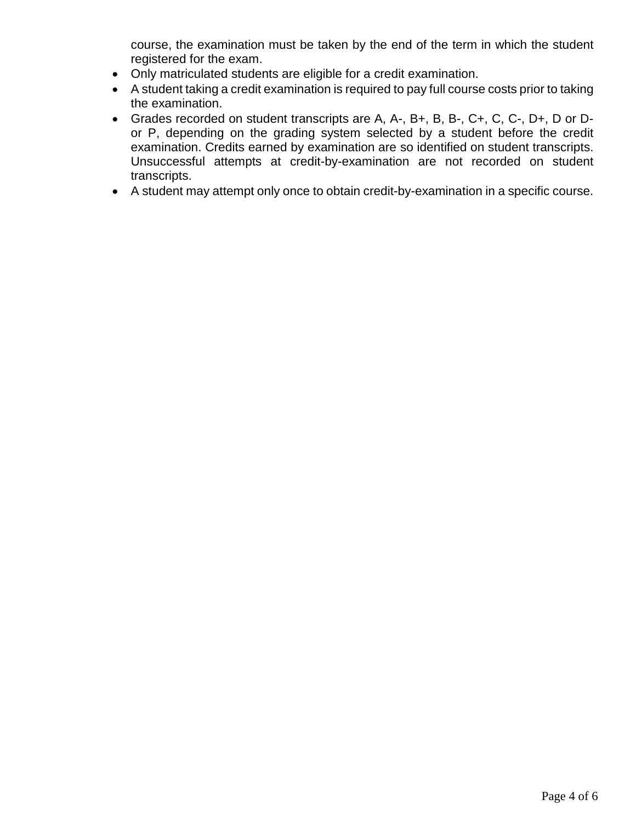course, the examination must be taken by the end of the term in which the student registered for the exam.

- Only matriculated students are eligible for a credit examination.
- A student taking a credit examination is required to pay full course costs prior to taking the examination.
- Grades recorded on student transcripts are A, A-, B+, B, B-, C+, C, C-, D+, D or Dor P, depending on the grading system selected by a student before the credit examination. Credits earned by examination are so identified on student transcripts. Unsuccessful attempts at credit-by-examination are not recorded on student transcripts.
- A student may attempt only once to obtain credit-by-examination in a specific course.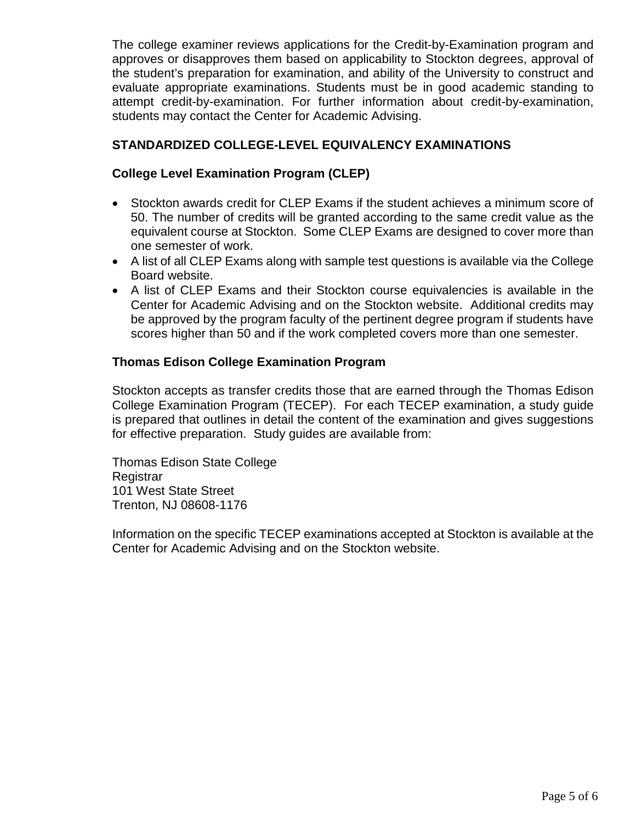The college examiner reviews applications for the Credit-by-Examination program and approves or disapproves them based on applicability to Stockton degrees, approval of the student's preparation for examination, and ability of the University to construct and evaluate appropriate examinations. Students must be in good academic standing to attempt credit-by-examination. For further information about credit-by-examination, students may contact the Center for Academic Advising.

#### **STANDARDIZED COLLEGE-LEVEL EQUIVALENCY EXAMINATIONS**

#### **College Level Examination Program (CLEP)**

- Stockton awards credit for CLEP Exams if the student achieves a minimum score of 50. The number of credits will be granted according to the same credit value as the equivalent course at Stockton. Some CLEP Exams are designed to cover more than one semester of work.
- A list of all CLEP Exams along with sample test questions is available via the College Board website.
- A list of CLEP Exams and their Stockton course equivalencies is available in the Center for Academic Advising and on the Stockton website. Additional credits may be approved by the program faculty of the pertinent degree program if students have scores higher than 50 and if the work completed covers more than one semester.

#### **Thomas Edison College Examination Program**

Stockton accepts as transfer credits those that are earned through the Thomas Edison College Examination Program (TECEP). For each TECEP examination, a study guide is prepared that outlines in detail the content of the examination and gives suggestions for effective preparation. Study guides are available from:

Thomas Edison State College **Registrar** 101 West State Street Trenton, NJ 08608-1176

Information on the specific TECEP examinations accepted at Stockton is available at the Center for Academic Advising and on the Stockton website.